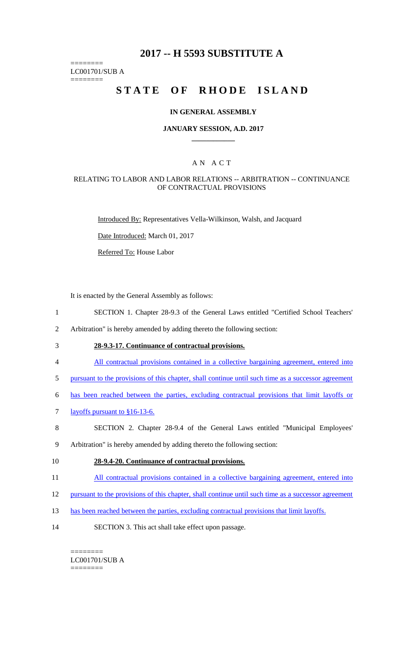# **2017 -- H 5593 SUBSTITUTE A**

======== LC001701/SUB A

========

# STATE OF RHODE ISLAND

#### **IN GENERAL ASSEMBLY**

#### **JANUARY SESSION, A.D. 2017 \_\_\_\_\_\_\_\_\_\_\_\_**

### A N A C T

#### RELATING TO LABOR AND LABOR RELATIONS -- ARBITRATION -- CONTINUANCE OF CONTRACTUAL PROVISIONS

Introduced By: Representatives Vella-Wilkinson, Walsh, and Jacquard

Date Introduced: March 01, 2017

Referred To: House Labor

It is enacted by the General Assembly as follows:

1 SECTION 1. Chapter 28-9.3 of the General Laws entitled "Certified School Teachers'

2 Arbitration" is hereby amended by adding thereto the following section:

- 3 **28-9.3-17. Continuance of contractual provisions.**
- 4 All contractual provisions contained in a collective bargaining agreement, entered into
- 5 pursuant to the provisions of this chapter, shall continue until such time as a successor agreement
- 6 has been reached between the parties, excluding contractual provisions that limit layoffs or
- 7 layoffs pursuant to §16-13-6.
- 8 SECTION 2. Chapter 28-9.4 of the General Laws entitled "Municipal Employees'
- 9 Arbitration" is hereby amended by adding thereto the following section:

#### 10 **28-9.4-20. Continuance of contractual provisions.**

- 11 All contractual provisions contained in a collective bargaining agreement, entered into
- 12 pursuant to the provisions of this chapter, shall continue until such time as a successor agreement
- 13 has been reached between the parties, excluding contractual provisions that limit layoffs.
- 14 SECTION 3. This act shall take effect upon passage.

======== LC001701/SUB A ========